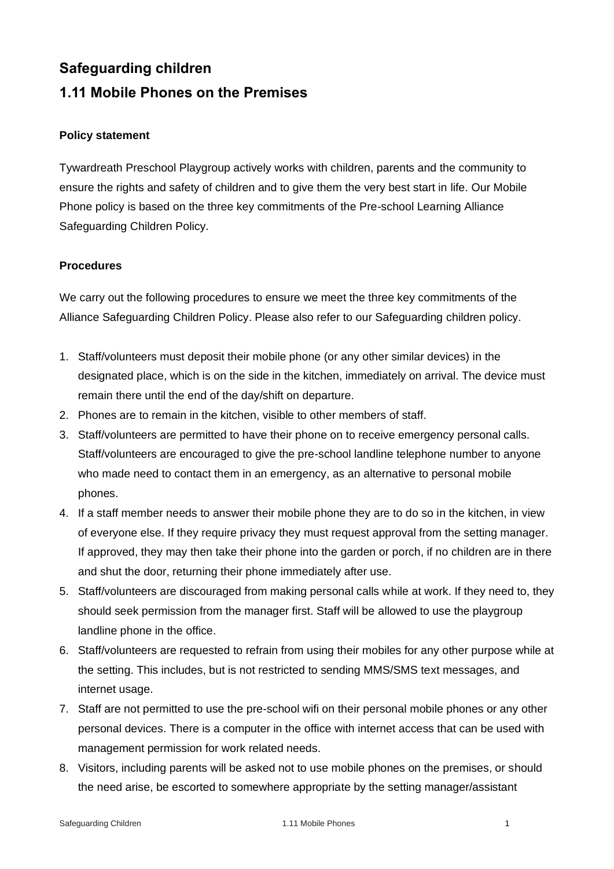# **Safeguarding children**

# **1.11 Mobile Phones on the Premises**

## **Policy statement**

Tywardreath Preschool Playgroup actively works with children, parents and the community to ensure the rights and safety of children and to give them the very best start in life. Our Mobile Phone policy is based on the three key commitments of the Pre-school Learning Alliance Safeguarding Children Policy.

## **Procedures**

We carry out the following procedures to ensure we meet the three key commitments of the Alliance Safeguarding Children Policy. Please also refer to our Safeguarding children policy.

- 1. Staff/volunteers must deposit their mobile phone (or any other similar devices) in the designated place, which is on the side in the kitchen, immediately on arrival. The device must remain there until the end of the day/shift on departure.
- 2. Phones are to remain in the kitchen, visible to other members of staff.
- 3. Staff/volunteers are permitted to have their phone on to receive emergency personal calls. Staff/volunteers are encouraged to give the pre-school landline telephone number to anyone who made need to contact them in an emergency, as an alternative to personal mobile phones.
- 4. If a staff member needs to answer their mobile phone they are to do so in the kitchen, in view of everyone else. If they require privacy they must request approval from the setting manager. If approved, they may then take their phone into the garden or porch, if no children are in there and shut the door, returning their phone immediately after use.
- 5. Staff/volunteers are discouraged from making personal calls while at work. If they need to, they should seek permission from the manager first. Staff will be allowed to use the playgroup landline phone in the office.
- 6. Staff/volunteers are requested to refrain from using their mobiles for any other purpose while at the setting. This includes, but is not restricted to sending MMS/SMS text messages, and internet usage.
- 7. Staff are not permitted to use the pre-school wifi on their personal mobile phones or any other personal devices. There is a computer in the office with internet access that can be used with management permission for work related needs.
- 8. Visitors, including parents will be asked not to use mobile phones on the premises, or should the need arise, be escorted to somewhere appropriate by the setting manager/assistant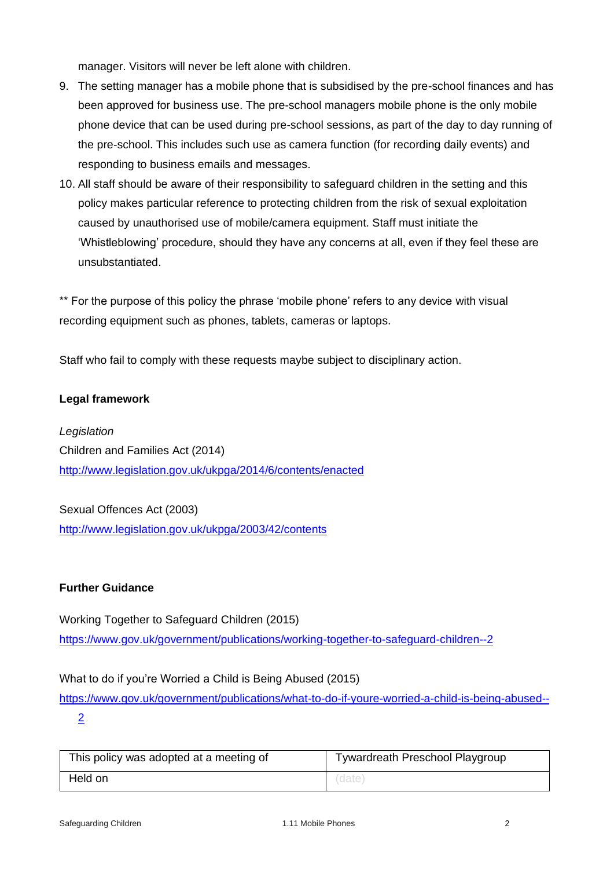manager. Visitors will never be left alone with children.

- 9. The setting manager has a mobile phone that is subsidised by the pre-school finances and has been approved for business use. The pre-school managers mobile phone is the only mobile phone device that can be used during pre-school sessions, as part of the day to day running of the pre-school. This includes such use as camera function (for recording daily events) and responding to business emails and messages.
- 10. All staff should be aware of their responsibility to safeguard children in the setting and this policy makes particular reference to protecting children from the risk of sexual exploitation caused by unauthorised use of mobile/camera equipment. Staff must initiate the 'Whistleblowing' procedure, should they have any concerns at all, even if they feel these are unsubstantiated.

\*\* For the purpose of this policy the phrase 'mobile phone' refers to any device with visual recording equipment such as phones, tablets, cameras or laptops.

Staff who fail to comply with these requests maybe subject to disciplinary action.

#### **Legal framework**

*Legislation* Children and Families Act (2014) <http://www.legislation.gov.uk/ukpga/2014/6/contents/enacted>

Sexual Offences Act (2003) <http://www.legislation.gov.uk/ukpga/2003/42/contents>

#### **Further Guidance**

Working Together to Safeguard Children (2015) <https://www.gov.uk/government/publications/working-together-to-safeguard-children--2>

What to do if you're Worried a Child is Being Abused (2015)

[https://www.gov.uk/government/publications/what-to-do-if-youre-worried-a-child-is-being-abused--](https://www.gov.uk/government/publications/what-to-do-if-youre-worried-a-child-is-being-abused--2) [2](https://www.gov.uk/government/publications/what-to-do-if-youre-worried-a-child-is-being-abused--2)

| This policy was adopted at a meeting of | Tywardreath Preschool Playgroup |
|-----------------------------------------|---------------------------------|
| Held on                                 | (date,                          |